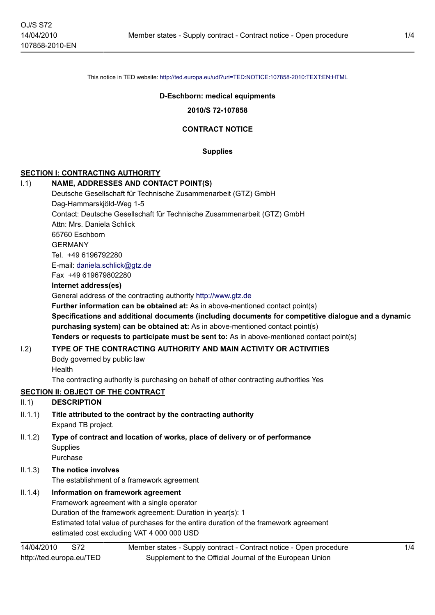This notice in TED website: <http://ted.europa.eu/udl?uri=TED:NOTICE:107858-2010:TEXT:EN:HTML>

#### **D-Eschborn: medical equipments**

**2010/S 72-107858**

#### **CONTRACT NOTICE**

**Supplies**

## **SECTION I: CONTRACTING AUTHORITY**

# I.1) **NAME, ADDRESSES AND CONTACT POINT(S)** Deutsche Gesellschaft für Technische Zusammenarbeit (GTZ) GmbH

Dag-Hammarskjöld-Weg 1-5 Contact: Deutsche Gesellschaft für Technische Zusammenarbeit (GTZ) GmbH Attn: Mrs. Daniela Schlick 65760 Eschborn GERMANY Tel. +49 6196792280 E-mail: [daniela.schlick@gtz.de](mailto:daniela.schlick@gtz.de) Fax +49 619679802280 **Internet address(es)** General address of the contracting authority<http://www.gtz.de> **Further information can be obtained at:** As in above-mentioned contact point(s) **Specifications and additional documents (including documents for competitive dialogue and a dynamic purchasing system) can be obtained at:** As in above-mentioned contact point(s) **Tenders or requests to participate must be sent to:** As in above-mentioned contact point(s)

## I.2) **TYPE OF THE CONTRACTING AUTHORITY AND MAIN ACTIVITY OR ACTIVITIES**

Body governed by public law **Health** 

The contracting authority is purchasing on behalf of other contracting authorities Yes

## **SECTION II: OBJECT OF THE CONTRACT**

# II.1) **DESCRIPTION**

- II.1.1) **Title attributed to the contract by the contracting authority** Expand TB project.
- II.1.2) **Type of contract and location of works, place of delivery or of performance Supplies** Purchase

# II.1.3) **The notice involves** The establishment of a framework agreement

# II.1.4) **Information on framework agreement**

Framework agreement with a single operator Duration of the framework agreement: Duration in year(s): 1 Estimated total value of purchases for the entire duration of the framework agreement estimated cost excluding VAT 4 000 000 USD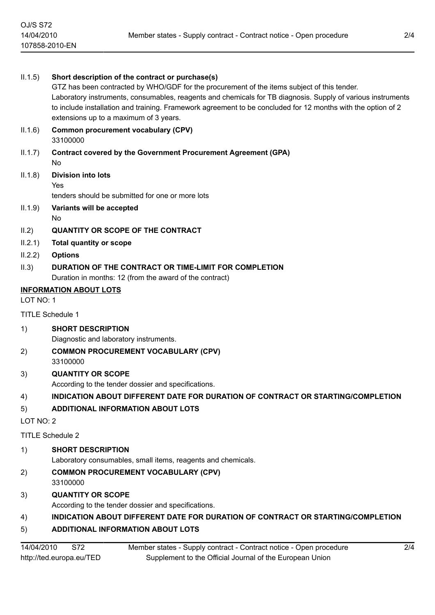| II.1.5)                       | Short description of the contract or purchase(s)<br>GTZ has been contracted by WHO/GDF for the procurement of the items subject of this tender.<br>Laboratory instruments, consumables, reagents and chemicals for TB diagnosis. Supply of various instruments<br>to include installation and training. Framework agreement to be concluded for 12 months with the option of 2<br>extensions up to a maximum of 3 years. |
|-------------------------------|--------------------------------------------------------------------------------------------------------------------------------------------------------------------------------------------------------------------------------------------------------------------------------------------------------------------------------------------------------------------------------------------------------------------------|
| II.1.6)                       | Common procurement vocabulary (CPV)<br>33100000                                                                                                                                                                                                                                                                                                                                                                          |
| II.1.7)                       | <b>Contract covered by the Government Procurement Agreement (GPA)</b><br>No                                                                                                                                                                                                                                                                                                                                              |
| II.1.8)                       | <b>Division into lots</b><br>Yes<br>tenders should be submitted for one or more lots                                                                                                                                                                                                                                                                                                                                     |
| II.1.9)                       | Variants will be accepted<br>No.                                                                                                                                                                                                                                                                                                                                                                                         |
| II.2)                         | <b>QUANTITY OR SCOPE OF THE CONTRACT</b>                                                                                                                                                                                                                                                                                                                                                                                 |
| II.2.1)                       | <b>Total quantity or scope</b>                                                                                                                                                                                                                                                                                                                                                                                           |
| II.2.2)                       | <b>Options</b>                                                                                                                                                                                                                                                                                                                                                                                                           |
| II.3)                         | DURATION OF THE CONTRACT OR TIME-LIMIT FOR COMPLETION<br>Duration in months: 12 (from the award of the contract)                                                                                                                                                                                                                                                                                                         |
| <b>INFORMATION ABOUT LOTS</b> |                                                                                                                                                                                                                                                                                                                                                                                                                          |
| LOT NO: 1                     |                                                                                                                                                                                                                                                                                                                                                                                                                          |
| <b>TITLE Schedule 1</b>       |                                                                                                                                                                                                                                                                                                                                                                                                                          |
| 1)                            | <b>SHORT DESCRIPTION</b>                                                                                                                                                                                                                                                                                                                                                                                                 |
|                               | Diagnostic and laboratory instruments.                                                                                                                                                                                                                                                                                                                                                                                   |
| 2)                            | <b>COMMON PROCUREMENT VOCABULARY (CPV)</b><br>33100000                                                                                                                                                                                                                                                                                                                                                                   |
| 3)                            | <b>QUANTITY OR SCOPE</b><br>According to the tender dossier and specifications.                                                                                                                                                                                                                                                                                                                                          |
| 4)                            | INDICATION ABOUT DIFFERENT DATE FOR DURATION OF CONTRACT OR STARTING/COMPLETION                                                                                                                                                                                                                                                                                                                                          |
| 5)                            | <b>ADDITIONAL INFORMATION ABOUT LOTS</b>                                                                                                                                                                                                                                                                                                                                                                                 |
| LOT NO: 2                     |                                                                                                                                                                                                                                                                                                                                                                                                                          |
| <b>TITLE Schedule 2</b>       |                                                                                                                                                                                                                                                                                                                                                                                                                          |
| 1)                            | <b>SHORT DESCRIPTION</b><br>Laboratory consumables, small items, reagents and chemicals.                                                                                                                                                                                                                                                                                                                                 |
| 2)                            | <b>COMMON PROCUREMENT VOCABULARY (CPV)</b><br>33100000                                                                                                                                                                                                                                                                                                                                                                   |
| 3)                            | <b>QUANTITY OR SCOPE</b>                                                                                                                                                                                                                                                                                                                                                                                                 |
|                               | According to the tender dossier and specifications.                                                                                                                                                                                                                                                                                                                                                                      |
| 4)                            | INDICATION ABOUT DIFFERENT DATE FOR DURATION OF CONTRACT OR STARTING/COMPLETION                                                                                                                                                                                                                                                                                                                                          |

# 5) **ADDITIONAL INFORMATION ABOUT LOTS**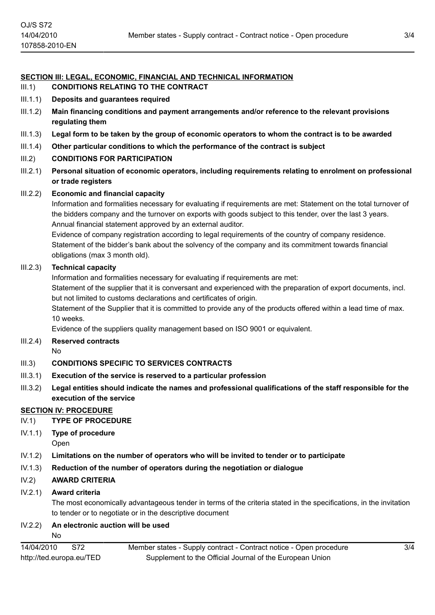# **SECTION III: LEGAL, ECONOMIC, FINANCIAL AND TECHNICAL INFORMATION**

- III.1) **CONDITIONS RELATING TO THE CONTRACT**
- III.1.1) **Deposits and guarantees required**
- III.1.2) **Main financing conditions and payment arrangements and/or reference to the relevant provisions regulating them**
- III.1.3) **Legal form to be taken by the group of economic operators to whom the contract is to be awarded**
- III.1.4) **Other particular conditions to which the performance of the contract is subject**

# III.2) **CONDITIONS FOR PARTICIPATION**

III.2.1) **Personal situation of economic operators, including requirements relating to enrolment on professional or trade registers**

## III.2.2) **Economic and financial capacity**

Information and formalities necessary for evaluating if requirements are met: Statement on the total turnover of the bidders company and the turnover on exports with goods subject to this tender, over the last 3 years. Annual financial statement approved by an external auditor.

Evidence of company registration according to legal requirements of the country of company residence. Statement of the bidder's bank about the solvency of the company and its commitment towards financial obligations (max 3 month old).

## III.2.3) **Technical capacity**

Information and formalities necessary for evaluating if requirements are met:

Statement of the supplier that it is conversant and experienced with the preparation of export documents, incl. but not limited to customs declarations and certificates of origin.

Statement of the Supplier that it is committed to provide any of the products offered within a lead time of max. 10 weeks.

Evidence of the suppliers quality management based on ISO 9001 or equivalent.

## III.2.4) **Reserved contracts**

No

# III.3) **CONDITIONS SPECIFIC TO SERVICES CONTRACTS**

- III.3.1) **Execution of the service is reserved to a particular profession**
- III.3.2) **Legal entities should indicate the names and professional qualifications of the staff responsible for the execution of the service**

# **SECTION IV: PROCEDURE**

- IV.1) **TYPE OF PROCEDURE**
- IV.1.1) **Type of procedure** Open
- IV.1.2) **Limitations on the number of operators who will be invited to tender or to participate**
- IV.1.3) **Reduction of the number of operators during the negotiation or dialogue**

# IV.2) **AWARD CRITERIA**

## IV.2.1) **Award criteria**

The most economically advantageous tender in terms of the criteria stated in the specifications, in the invitation to tender or to negotiate or in the descriptive document

# IV.2.2) **An electronic auction will be used**

No